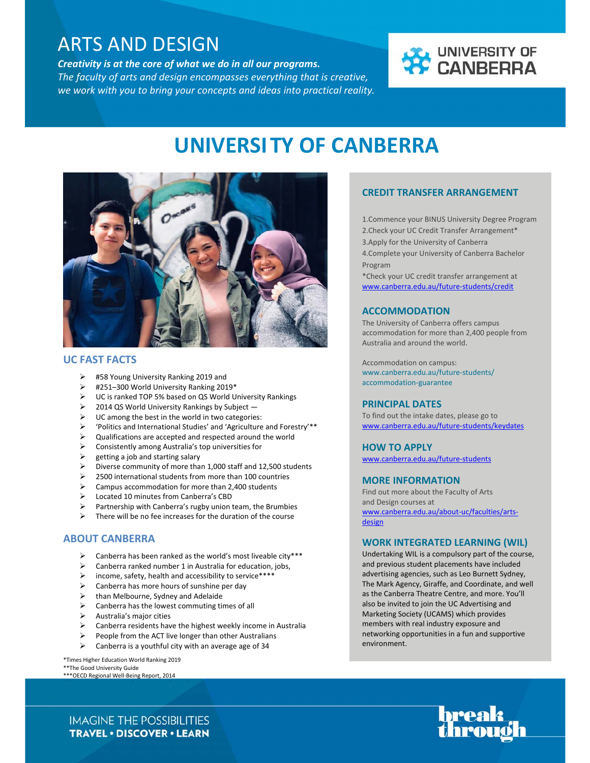# C ARTS AND DESIGN

*Creativity is at the core of what we do in all our programs. The faculty of arts and design encompasses everything that is creative, we work with you to bring your concepts and ideas into practical reality.* 



# **UNIVERSITY OF CANBERRA**



### **UC FAST FACTS**

- #58 Young University Ranking 2019 and
- #251–300 World University Ranking 2019\*
- UC is ranked TOP 5% based on QS World University Rankings
- 2014 QS World University Rankings by Subject —
- UC among the best in the world in two categories:
- 'Politics and International Studies' and 'Agriculture and Forestry'\*\*
- Qualifications are accepted and respected around the world
- $\triangleright$  Consistently among Australia's top universities for
- getting a job and starting salary
- Diverse community of more than 1,000 staff and 12,500 students
- 2500 international students from more than 100 countries
- Campus accommodation for more than 2,400 students
- Located 10 minutes from Canberra's CBD
- Partnership with Canberra's rugby union team, the Brumbies
- $\triangleright$  There will be no fee increases for the duration of the course

### **ABOUT CANBERRA**

- $\triangleright$  Canberra has been ranked as the world's most liveable city\*\*\*
- Canberra ranked number 1 in Australia for education, jobs,
- income, safety, health and accessibility to service\*\*\*\*
- Canberra has more hours of sunshine per day
- than Melbourne, Sydney and Adelaide
- Canberra has the lowest commuting times of all
- Australia's major cities
- Canberra residents have the highest weekly income in Australia
- People from the ACT live longer than other Australians
- $\triangleright$  Canberra is a youthful city with an average age of 34

\*Times Higher Education World Ranking 2019 \*\*The Good University Guide

\*\*\*OECD Regional Well‐Being Report, 2014

## **CREDIT TRANSFER ARRANGEMENT**

1.Commence your BINUS University Degree Program 2.Check your UC Credit Transfer Arrangement\* 3.Apply for the University of Canberra 4.Complete your University of Canberra Bachelor Program

\*Check your UC credit transfer arrangement at www.canberra.edu.au/future‐students/credit

#### **ACCOMMODATION**

The University of Canberra offers campus accommodation for more than 2,400 people from Australia and around the world.

Accommodation on campus: www.canberra.edu.au/future‐students/ accommodation‐guarantee

#### **PRINCIPAL DATES**

To find out the intake dates, please go to www.canberra.edu.au/future‐students/keydates

#### **HOW TO APPLY**

www.canberra.edu.au/future‐students

#### **MORE INFORMATION**

Find out more about the Faculty of Arts and Design courses at www.canberra.edu.au/about‐uc/faculties/arts‐ design

#### **WORK INTEGRATED LEARNING (WIL)**

Undertaking WIL is a compulsory part of the course, and previous student placements have included advertising agencies, such as Leo Burnett Sydney, The Mark Agency, Giraffe, and Coordinate, and well as the Canberra Theatre Centre, and more. You'll also be invited to join the UC Advertising and Marketing Society (UCAMS) which provides members with real industry exposure and networking opportunities in a fun and supportive environment.



**IMAGINE THE POSSIBILITIES TRAVEL . DISCOVER . LEARN**